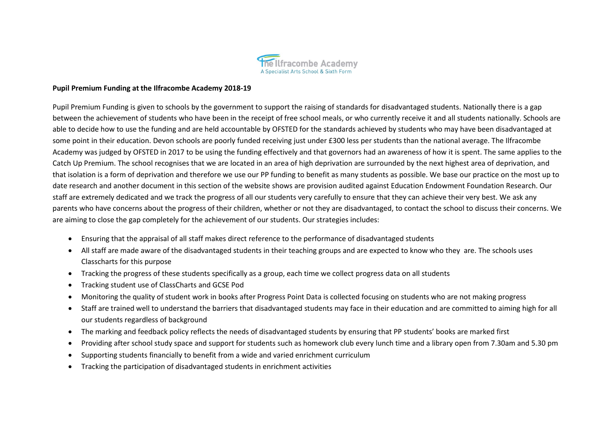

#### **Pupil Premium Funding at the Ilfracombe Academy 2018-19**

Pupil Premium Funding is given to schools by the government to support the raising of standards for disadvantaged students. Nationally there is a gap between the achievement of students who have been in the receipt of free school meals, or who currently receive it and all students nationally. Schools are able to decide how to use the funding and are held accountable by OFSTED for the standards achieved by students who may have been disadvantaged at some point in their education. Devon schools are poorly funded receiving just under £300 less per students than the national average. The Ilfracombe Academy was judged by OFSTED in 2017 to be using the funding effectively and that governors had an awareness of how it is spent. The same applies to the Catch Up Premium. The school recognises that we are located in an area of high deprivation are surrounded by the next highest area of deprivation, and that isolation is a form of deprivation and therefore we use our PP funding to benefit as many students as possible. We base our practice on the most up to date research and another document in this section of the website shows are provision audited against Education Endowment Foundation Research. Our staff are extremely dedicated and we track the progress of all our students very carefully to ensure that they can achieve their very best. We ask any parents who have concerns about the progress of their children, whether or not they are disadvantaged, to contact the school to discuss their concerns. We are aiming to close the gap completely for the achievement of our students. Our strategies includes:

- Ensuring that the appraisal of all staff makes direct reference to the performance of disadvantaged students
- All staff are made aware of the disadvantaged students in their teaching groups and are expected to know who they are. The schools uses Classcharts for this purpose
- Tracking the progress of these students specifically as a group, each time we collect progress data on all students
- Tracking student use of ClassCharts and GCSE Pod
- Monitoring the quality of student work in books after Progress Point Data is collected focusing on students who are not making progress
- Staff are trained well to understand the barriers that disadvantaged students may face in their education and are committed to aiming high for all our students regardless of background
- The marking and feedback policy reflects the needs of disadvantaged students by ensuring that PP students' books are marked first
- Providing after school study space and support for students such as homework club every lunch time and a library open from 7.30am and 5.30 pm
- Supporting students financially to benefit from a wide and varied enrichment curriculum
- Tracking the participation of disadvantaged students in enrichment activities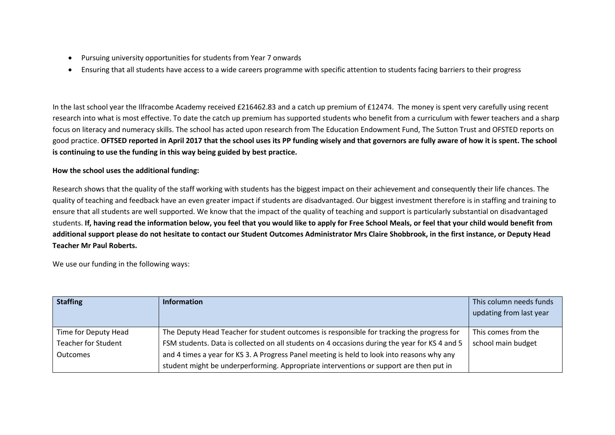- Pursuing university opportunities for students from Year 7 onwards
- Ensuring that all students have access to a wide careers programme with specific attention to students facing barriers to their progress

In the last school year the Ilfracombe Academy received £216462.83 and a catch up premium of £12474. The money is spent very carefully using recent research into what is most effective. To date the catch up premium has supported students who benefit from a curriculum with fewer teachers and a sharp focus on literacy and numeracy skills. The school has acted upon research from The Education Endowment Fund, The Sutton Trust and OFSTED reports on good practice. **OFTSED reported in April 2017 that the school uses its PP funding wisely and that governors are fully aware of how it is spent. The school is continuing to use the funding in this way being guided by best practice.** 

## **How the school uses the additional funding:**

Research shows that the quality of the staff working with students has the biggest impact on their achievement and consequently their life chances. The quality of teaching and feedback have an even greater impact if students are disadvantaged. Our biggest investment therefore is in staffing and training to ensure that all students are well supported. We know that the impact of the quality of teaching and support is particularly substantial on disadvantaged students. **If, having read the information below, you feel that you would like to apply for Free School Meals, or feel that your child would benefit from additional support please do not hesitate to contact our Student Outcomes Administrator Mrs Claire Shobbrook, in the first instance, or Deputy Head Teacher Mr Paul Roberts.**

We use our funding in the following ways:

| <b>Staffing</b>            | <b>Information</b>                                                                            | This column needs funds<br>updating from last year |
|----------------------------|-----------------------------------------------------------------------------------------------|----------------------------------------------------|
| Time for Deputy Head       | The Deputy Head Teacher for student outcomes is responsible for tracking the progress for     | This comes from the                                |
| <b>Teacher for Student</b> | FSM students. Data is collected on all students on 4 occasions during the year for KS 4 and 5 | school main budget                                 |
| <b>Outcomes</b>            | and 4 times a year for KS 3. A Progress Panel meeting is held to look into reasons why any    |                                                    |
|                            | student might be underperforming. Appropriate interventions or support are then put in        |                                                    |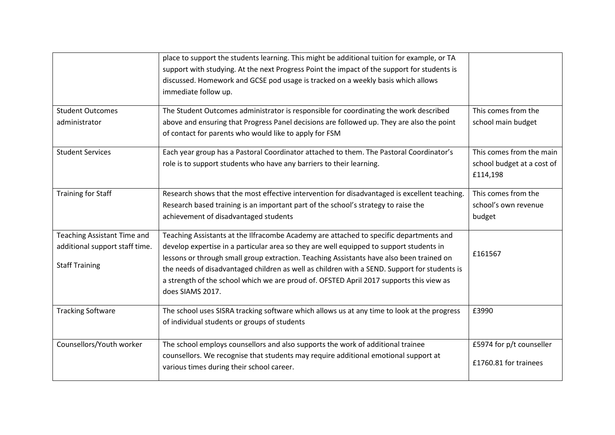|                                                                                        | place to support the students learning. This might be additional tuition for example, or TA<br>support with studying. At the next Progress Point the impact of the support for students is<br>discussed. Homework and GCSE pod usage is tracked on a weekly basis which allows<br>immediate follow up.                                                                                                                                                                                       |                                                                    |
|----------------------------------------------------------------------------------------|----------------------------------------------------------------------------------------------------------------------------------------------------------------------------------------------------------------------------------------------------------------------------------------------------------------------------------------------------------------------------------------------------------------------------------------------------------------------------------------------|--------------------------------------------------------------------|
| <b>Student Outcomes</b><br>administrator                                               | The Student Outcomes administrator is responsible for coordinating the work described<br>above and ensuring that Progress Panel decisions are followed up. They are also the point<br>of contact for parents who would like to apply for FSM                                                                                                                                                                                                                                                 | This comes from the<br>school main budget                          |
| <b>Student Services</b>                                                                | Each year group has a Pastoral Coordinator attached to them. The Pastoral Coordinator's<br>role is to support students who have any barriers to their learning.                                                                                                                                                                                                                                                                                                                              | This comes from the main<br>school budget at a cost of<br>£114,198 |
| <b>Training for Staff</b>                                                              | Research shows that the most effective intervention for disadvantaged is excellent teaching.<br>Research based training is an important part of the school's strategy to raise the<br>achievement of disadvantaged students                                                                                                                                                                                                                                                                  | This comes from the<br>school's own revenue<br>budget              |
| Teaching Assistant Time and<br>additional support staff time.<br><b>Staff Training</b> | Teaching Assistants at the Ilfracombe Academy are attached to specific departments and<br>develop expertise in a particular area so they are well equipped to support students in<br>lessons or through small group extraction. Teaching Assistants have also been trained on<br>the needs of disadvantaged children as well as children with a SEND. Support for students is<br>a strength of the school which we are proud of. OFSTED April 2017 supports this view as<br>does SIAMS 2017. | £161567                                                            |
| <b>Tracking Software</b>                                                               | The school uses SISRA tracking software which allows us at any time to look at the progress<br>of individual students or groups of students                                                                                                                                                                                                                                                                                                                                                  | £3990                                                              |
| Counsellors/Youth worker                                                               | The school employs counsellors and also supports the work of additional trainee<br>counsellors. We recognise that students may require additional emotional support at<br>various times during their school career.                                                                                                                                                                                                                                                                          | £5974 for p/t counseller<br>£1760.81 for trainees                  |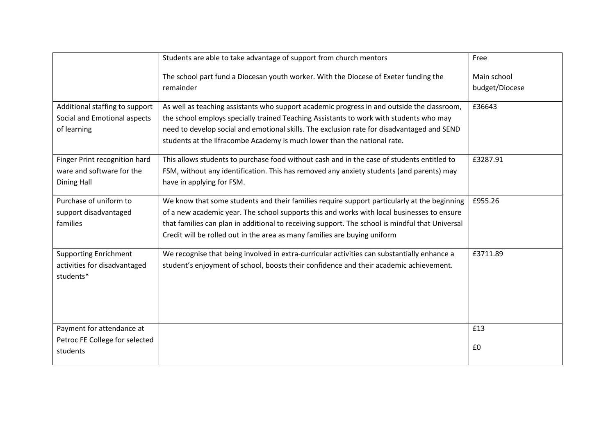|                                                                               | Students are able to take advantage of support from church mentors                                                                                                                                                                                                                                                                                                        | Free                          |
|-------------------------------------------------------------------------------|---------------------------------------------------------------------------------------------------------------------------------------------------------------------------------------------------------------------------------------------------------------------------------------------------------------------------------------------------------------------------|-------------------------------|
|                                                                               | The school part fund a Diocesan youth worker. With the Diocese of Exeter funding the<br>remainder                                                                                                                                                                                                                                                                         | Main school<br>budget/Diocese |
| Additional staffing to support<br>Social and Emotional aspects<br>of learning | As well as teaching assistants who support academic progress in and outside the classroom,<br>the school employs specially trained Teaching Assistants to work with students who may<br>need to develop social and emotional skills. The exclusion rate for disadvantaged and SEND<br>students at the Ilfracombe Academy is much lower than the national rate.            | £36643                        |
| Finger Print recognition hard<br>ware and software for the<br>Dining Hall     | This allows students to purchase food without cash and in the case of students entitled to<br>FSM, without any identification. This has removed any anxiety students (and parents) may<br>have in applying for FSM.                                                                                                                                                       | £3287.91                      |
| Purchase of uniform to<br>support disadvantaged<br>families                   | We know that some students and their families require support particularly at the beginning<br>of a new academic year. The school supports this and works with local businesses to ensure<br>that families can plan in additional to receiving support. The school is mindful that Universal<br>Credit will be rolled out in the area as many families are buying uniform | £955.26                       |
| <b>Supporting Enrichment</b><br>activities for disadvantaged<br>students*     | We recognise that being involved in extra-curricular activities can substantially enhance a<br>student's enjoyment of school, boosts their confidence and their academic achievement.                                                                                                                                                                                     | £3711.89                      |
| Payment for attendance at<br>Petroc FE College for selected<br>students       |                                                                                                                                                                                                                                                                                                                                                                           | £13<br>£0                     |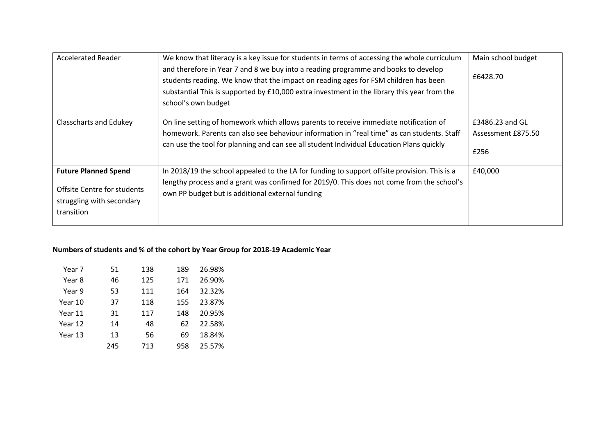| <b>Accelerated Reader</b>                                                                             | We know that literacy is a key issue for students in terms of accessing the whole curriculum<br>and therefore in Year 7 and 8 we buy into a reading programme and books to develop<br>students reading. We know that the impact on reading ages for FSM children has been<br>substantial This is supported by £10,000 extra investment in the library this year from the<br>school's own budget | Main school budget<br>£6428.70                |
|-------------------------------------------------------------------------------------------------------|-------------------------------------------------------------------------------------------------------------------------------------------------------------------------------------------------------------------------------------------------------------------------------------------------------------------------------------------------------------------------------------------------|-----------------------------------------------|
| <b>Classcharts and Edukey</b>                                                                         | On line setting of homework which allows parents to receive immediate notification of<br>homework. Parents can also see behaviour information in "real time" as can students. Staff<br>can use the tool for planning and can see all student Individual Education Plans quickly                                                                                                                 | £3486.23 and GL<br>Assessment £875.50<br>£256 |
| <b>Future Planned Spend</b><br>Offsite Centre for students<br>struggling with secondary<br>transition | In 2018/19 the school appealed to the LA for funding to support offsite provision. This is a<br>lengthy process and a grant was confirned for 2019/0. This does not come from the school's<br>own PP budget but is additional external funding                                                                                                                                                  | £40,000                                       |

# **Numbers of students and % of the cohort by Year Group for 2018-19 Academic Year**

| Year 7  | 51  | 138 | 189 | 26.98% |
|---------|-----|-----|-----|--------|
| Year 8  | 46  | 125 | 171 | 26.90% |
| Year 9  | 53  | 111 | 164 | 32.32% |
| Year 10 | 37  | 118 | 155 | 23.87% |
| Year 11 | 31  | 117 | 148 | 20.95% |
| Year 12 | 14  | 48  | 62  | 22.58% |
| Year 13 | 13  | 56  | 69  | 18.84% |
|         | 245 | 713 | 958 | 25.57% |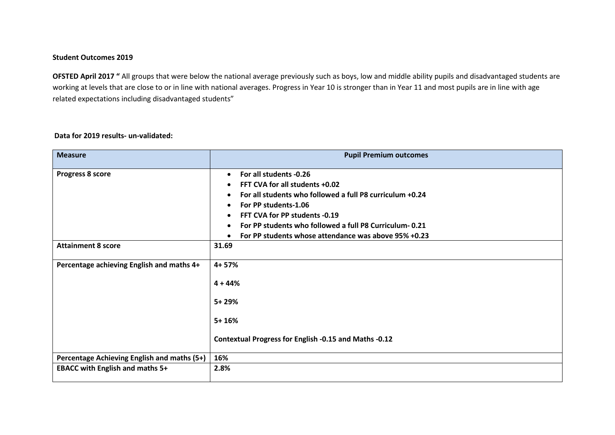### **Student Outcomes 2019**

**OFSTED April 2017** " All groups that were below the national average previously such as boys, low and middle ability pupils and disadvantaged students are working at levels that are close to or in line with national averages. Progress in Year 10 is stronger than in Year 11 and most pupils are in line with age related expectations including disadvantaged students"

## **Data for 2019 results- un-validated:**

| <b>Measure</b>                              | <b>Pupil Premium outcomes</b>                                                                                                                                                                                                                                                                                                          |
|---------------------------------------------|----------------------------------------------------------------------------------------------------------------------------------------------------------------------------------------------------------------------------------------------------------------------------------------------------------------------------------------|
| Progress 8 score                            | For all students -0.26<br>$\bullet$<br>FFT CVA for all students +0.02<br>For all students who followed a full P8 curriculum +0.24<br>For PP students-1.06<br>FFT CVA for PP students -0.19<br>$\bullet$<br>For PP students who followed a full P8 Curriculum-0.21<br>$\bullet$<br>For PP students whose attendance was above 95% +0.23 |
| <b>Attainment 8 score</b>                   | 31.69                                                                                                                                                                                                                                                                                                                                  |
| Percentage achieving English and maths 4+   | $4 + 57%$<br>$4 + 44%$<br>$5 + 29%$<br>$5 + 16%$<br>Contextual Progress for English -0.15 and Maths -0.12                                                                                                                                                                                                                              |
| Percentage Achieving English and maths (5+) | 16%                                                                                                                                                                                                                                                                                                                                    |
| <b>EBACC with English and maths 5+</b>      | 2.8%                                                                                                                                                                                                                                                                                                                                   |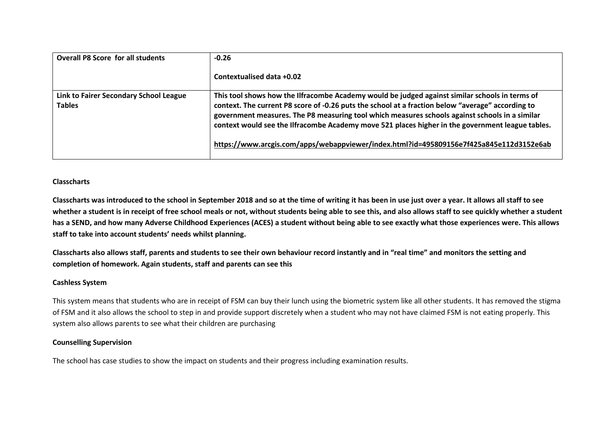| <b>Overall P8 Score for all students</b>                | $-0.26$<br>Contextualised data +0.02                                                                                                                                                                                                                                                                                                                                                                                                                                                                 |
|---------------------------------------------------------|------------------------------------------------------------------------------------------------------------------------------------------------------------------------------------------------------------------------------------------------------------------------------------------------------------------------------------------------------------------------------------------------------------------------------------------------------------------------------------------------------|
| Link to Fairer Secondary School League<br><b>Tables</b> | This tool shows how the Ilfracombe Academy would be judged against similar schools in terms of<br>context. The current P8 score of -0.26 puts the school at a fraction below "average" according to<br>government measures. The P8 measuring tool which measures schools against schools in a similar<br>context would see the Ilfracombe Academy move 521 places higher in the government league tables.<br>https://www.arcgis.com/apps/webappviewer/index.html?id=495809156e7f425a845e112d3152e6ab |

### **Classcharts**

**Classcharts was introduced to the school in September 2018 and so at the time of writing it has been in use just over a year. It allows all staff to see whether a student is in receipt of free school meals or not, without students being able to see this, and also allows staff to see quickly whether a student has a SEND, and how many Adverse Childhood Experiences (ACES) a student without being able to see exactly what those experiences were. This allows staff to take into account students' needs whilst planning.**

**Classcharts also allows staff, parents and students to see their own behaviour record instantly and in "real time" and monitors the setting and completion of homework. Again students, staff and parents can see this**

### **Cashless System**

This system means that students who are in receipt of FSM can buy their lunch using the biometric system like all other students. It has removed the stigma of FSM and it also allows the school to step in and provide support discretely when a student who may not have claimed FSM is not eating properly. This system also allows parents to see what their children are purchasing

### **Counselling Supervision**

The school has case studies to show the impact on students and their progress including examination results.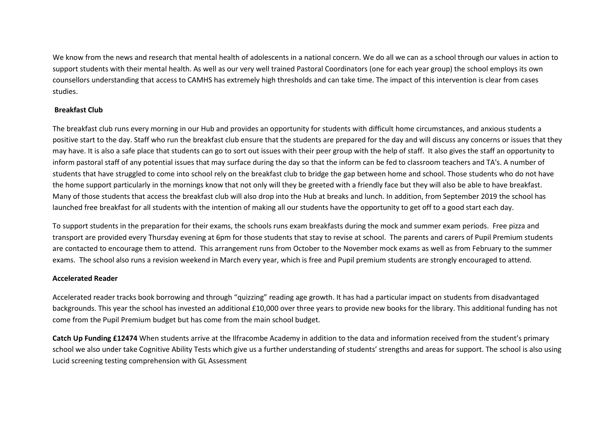We know from the news and research that mental health of adolescents in a national concern. We do all we can as a school through our values in action to support students with their mental health. As well as our very well trained Pastoral Coordinators (one for each year group) the school employs its own counsellors understanding that access to CAMHS has extremely high thresholds and can take time. The impact of this intervention is clear from cases studies.

### **Breakfast Club**

The breakfast club runs every morning in our Hub and provides an opportunity for students with difficult home circumstances, and anxious students a positive start to the day. Staff who run the breakfast club ensure that the students are prepared for the day and will discuss any concerns or issues that they may have. It is also a safe place that students can go to sort out issues with their peer group with the help of staff. It also gives the staff an opportunity to inform pastoral staff of any potential issues that may surface during the day so that the inform can be fed to classroom teachers and TA's. A number of students that have struggled to come into school rely on the breakfast club to bridge the gap between home and school. Those students who do not have the home support particularly in the mornings know that not only will they be greeted with a friendly face but they will also be able to have breakfast. Many of those students that access the breakfast club will also drop into the Hub at breaks and lunch. In addition, from September 2019 the school has launched free breakfast for all students with the intention of making all our students have the opportunity to get off to a good start each day.

To support students in the preparation for their exams, the schools runs exam breakfasts during the mock and summer exam periods. Free pizza and transport are provided every Thursday evening at 6pm for those students that stay to revise at school. The parents and carers of Pupil Premium students are contacted to encourage them to attend. This arrangement runs from October to the November mock exams as well as from February to the summer exams. The school also runs a revision weekend in March every year, which is free and Pupil premium students are strongly encouraged to attend.

### **Accelerated Reader**

Accelerated reader tracks book borrowing and through "quizzing" reading age growth. It has had a particular impact on students from disadvantaged backgrounds. This year the school has invested an additional £10,000 over three years to provide new books for the library. This additional funding has not come from the Pupil Premium budget but has come from the main school budget.

**Catch Up Funding £12474** When students arrive at the Ilfracombe Academy in addition to the data and information received from the student's primary school we also under take Cognitive Ability Tests which give us a further understanding of students' strengths and areas for support. The school is also using Lucid screening testing comprehension with GL Assessment